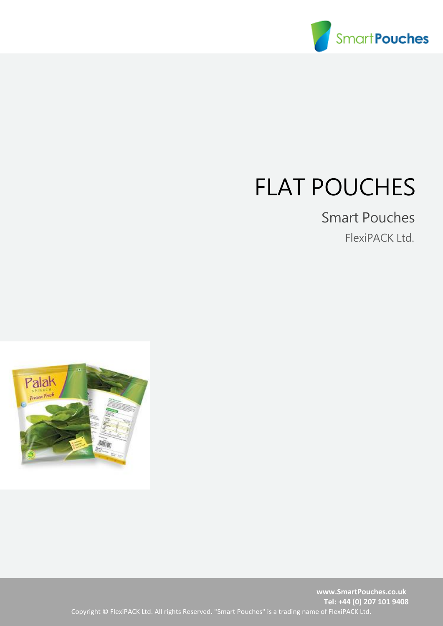

## FLAT POUCHES

## Smart Pouches

FlexiPACK Ltd.

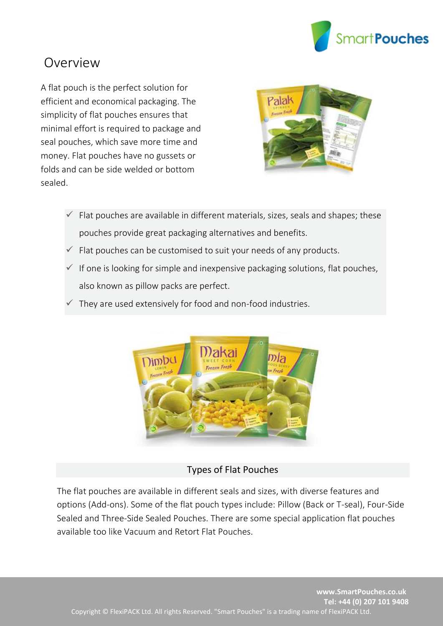

## Overview

A flat pouch is the perfect solution for efficient and economical packaging. The simplicity of flat pouches ensures that minimal effort is required to package and seal pouches, which save more time and money. Flat pouches have no gussets or folds and can be side welded or bottom sealed.



- $\checkmark$  Flat pouches are available in different materials, sizes, seals and shapes; these pouches provide great packaging alternatives and benefits.
- $\checkmark$  Flat pouches can be customised to suit your needs of any products.
- $\checkmark$  If one is looking for simple and inexpensive packaging solutions, flat pouches, also known as pillow packs are perfect.
- They are used extensively for food and non-food industries.



## Types of Flat Pouches

The flat pouches are available in different seals and sizes, with diverse features and options (Add-ons). Some of the flat pouch types include: Pillow (Back or T-seal), Four-Side Sealed and Three-Side Sealed Pouches. There are some special application flat pouches available too like Vacuum and Retort Flat Pouches.